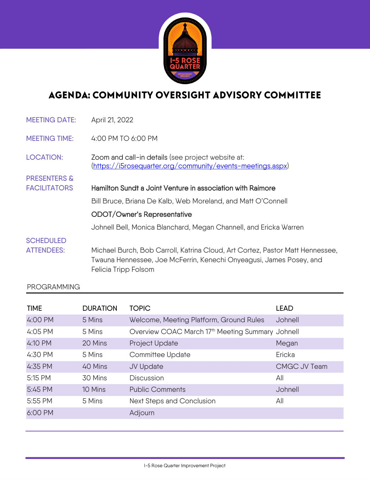

## AGENDA: COMMUNITY OVERSIGHT ADVISORY COMMITTEE

| <b>MEETING DATE:</b>    | April 21, 2022                                                                                                                                                               |  |  |
|-------------------------|------------------------------------------------------------------------------------------------------------------------------------------------------------------------------|--|--|
| <b>MEETING TIME:</b>    | 4:00 PM TO 6:00 PM                                                                                                                                                           |  |  |
| <b>LOCATION:</b>        | Zoom and call-in details (see project website at:<br>(https://i5rosequarter.org/community/events-meetings.aspx)                                                              |  |  |
| <b>PRESENTERS &amp;</b> |                                                                                                                                                                              |  |  |
| <b>FACILITATORS</b>     | Hamilton Sundt a Joint Venture in association with Raimore                                                                                                                   |  |  |
|                         | Bill Bruce, Briana De Kalb, Web Moreland, and Matt O'Connell                                                                                                                 |  |  |
|                         | ODOT/Owner's Representative                                                                                                                                                  |  |  |
|                         | Johnell Bell, Monica Blanchard, Megan Channell, and Ericka Warren                                                                                                            |  |  |
| <b>SCHEDULED</b>        |                                                                                                                                                                              |  |  |
| <b>ATTENDEES:</b>       | Michael Burch, Bob Carroll, Katrina Cloud, Art Cortez, Pastor Matt Hennessee,<br>Twauna Hennessee, Joe McFerrin, Kenechi Onyeagusi, James Posey, and<br>Felicia Tripp Folsom |  |  |
|                         |                                                                                                                                                                              |  |  |

## PROGRAMMING

| <b>TIME</b> | <b>DURATION</b> | <b>TOPIC</b>                                                 | <b>LEAD</b>  |
|-------------|-----------------|--------------------------------------------------------------|--------------|
| 4:00 PM     | 5 Mins          | Welcome, Meeting Platform, Ground Rules                      | Johnell      |
| 4:05 PM     | 5 Mins          | Overview COAC March 17 <sup>th</sup> Meeting Summary Johnell |              |
| 4:10 PM     | 20 Mins         | Project Update                                               | Megan        |
| 4:30 PM     | 5 Mins          | Committee Update                                             | Ericka       |
| 4:35 PM     | 40 Mins         | JV Update                                                    | CMGC JV Team |
| 5:15 PM     | 30 Mins         | <b>Discussion</b>                                            | All          |
| 5:45 PM     | 10 Mins         | <b>Public Comments</b>                                       | Johnell      |
| 5:55 PM     | 5 Mins          | Next Steps and Conclusion                                    | All          |
| 6:00 PM     |                 | Adjourn                                                      |              |
|             |                 |                                                              |              |